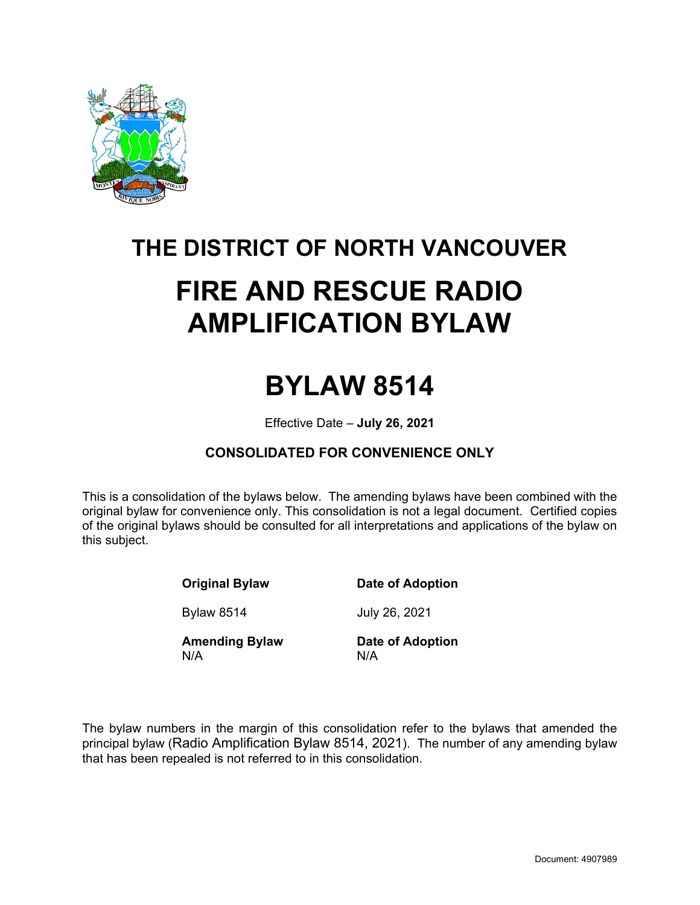

# **THE DISTRICT OF NORTH VANCOUVER FIRE AND RESCUE RADIO AMPLIFICATION BYLAW**

## **BYLAW 8514**

Effective Date – **July 26, 2021**

## **CONSOLIDATED FOR CONVENIENCE ONLY**

This is a consolidation of the bylaws below. The amending bylaws have been combined with the original bylaw for convenience only. This consolidation is not a legal document. Certified copies of the original bylaws should be consulted for all interpretations and applications of the bylaw on this subject.

**Original Bylaw Date of Adoption** 

Bylaw 8514 July 26, 2021

**Amending Bylaw Date of Adoption**  N/A N/A

The bylaw numbers in the margin of this consolidation refer to the bylaws that amended the principal bylaw (Radio Amplification Bylaw 8514, 2021). The number of any amending bylaw that has been repealed is not referred to in this consolidation.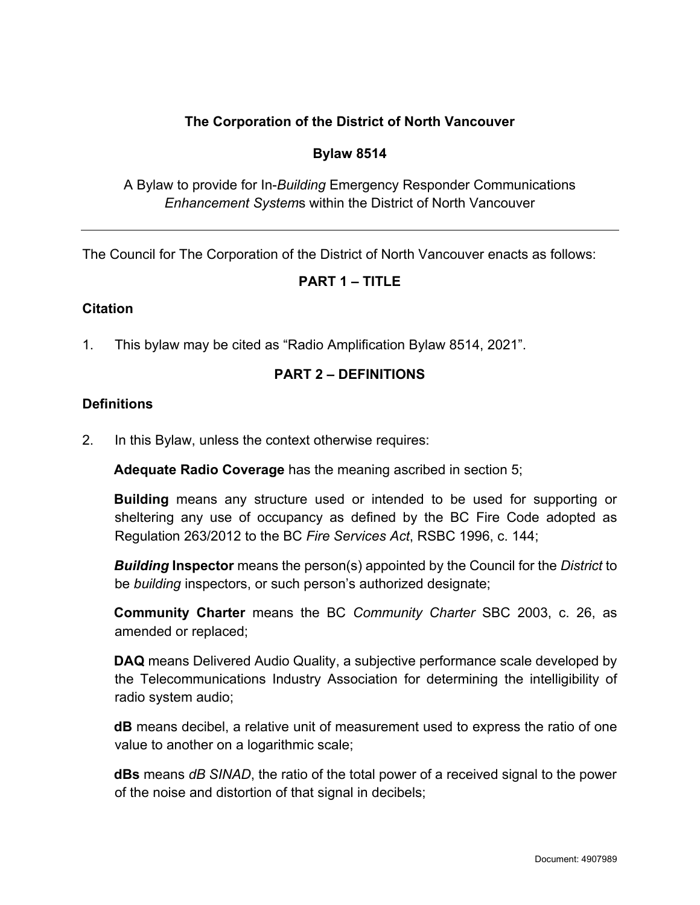## **The Corporation of the District of North Vancouver**

#### **Bylaw 8514**

A Bylaw to provide for In-*Building* Emergency Responder Communications *Enhancement System*s within the District of North Vancouver

The Council for The Corporation of the District of North Vancouver enacts as follows:

## **PART 1 – TITLE**

#### **Citation**

1. This bylaw may be cited as "Radio Amplification Bylaw 8514, 2021".

#### **PART 2 – DEFINITIONS**

#### **Definitions**

2. In this Bylaw, unless the context otherwise requires:

**Adequate Radio Coverage** has the meaning ascribed in section 5;

**Building** means any structure used or intended to be used for supporting or sheltering any use of occupancy as defined by the BC Fire Code adopted as Regulation 263/2012 to the BC *Fire Services Act*, RSBC 1996, c. 144;

*Building* **Inspector** means the person(s) appointed by the Council for the *District* to be *building* inspectors, or such person's authorized designate;

**Community Charter** means the BC *Community Charter* SBC 2003, c. 26, as amended or replaced;

**DAQ** means Delivered Audio Quality, a subjective performance scale developed by the Telecommunications Industry Association for determining the intelligibility of radio system audio;

**dB** means decibel, a relative unit of measurement used to express the ratio of one value to another on a logarithmic scale;

**dBs** means *dB SINAD*, the ratio of the total power of a received signal to the power of the noise and distortion of that signal in decibels;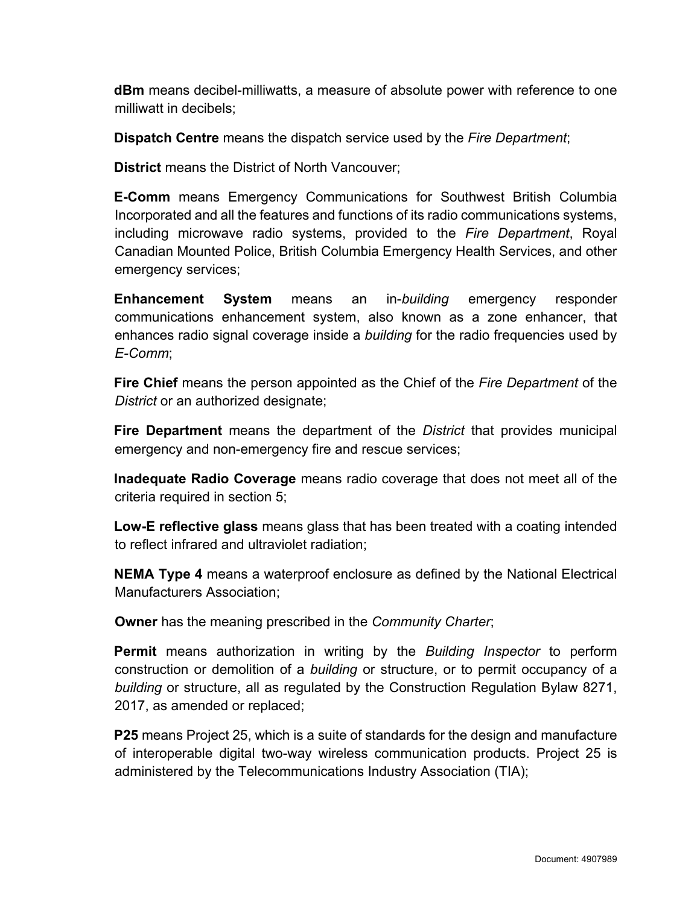**dBm** means decibel-milliwatts, a measure of absolute power with reference to one milliwatt in decibels;

**Dispatch Centre** means the dispatch service used by the *Fire Department*;

**District** means the District of North Vancouver;

**E-Comm** means Emergency Communications for Southwest British Columbia Incorporated and all the features and functions of its radio communications systems, including microwave radio systems, provided to the *Fire Department*, Royal Canadian Mounted Police, British Columbia Emergency Health Services, and other emergency services;

**Enhancement System** means an in-*building* emergency responder communications enhancement system, also known as a zone enhancer, that enhances radio signal coverage inside a *building* for the radio frequencies used by *E-Comm*;

**Fire Chief** means the person appointed as the Chief of the *Fire Department* of the *District* or an authorized designate;

**Fire Department** means the department of the *District* that provides municipal emergency and non-emergency fire and rescue services;

**Inadequate Radio Coverage** means radio coverage that does not meet all of the criteria required in section 5;

**Low-E reflective glass** means glass that has been treated with a coating intended to reflect infrared and ultraviolet radiation;

**NEMA Type 4** means a waterproof enclosure as defined by the National Electrical Manufacturers Association;

**Owner** has the meaning prescribed in the *Community Charter*;

**Permit** means authorization in writing by the *Building Inspector* to perform construction or demolition of a *building* or structure, or to permit occupancy of a *building* or structure, all as regulated by the Construction Regulation Bylaw 8271, 2017, as amended or replaced;

**P25** means Project 25, which is a suite of standards for the design and manufacture of interoperable digital two-way wireless communication products. Project 25 is administered by the Telecommunications Industry Association (TIA);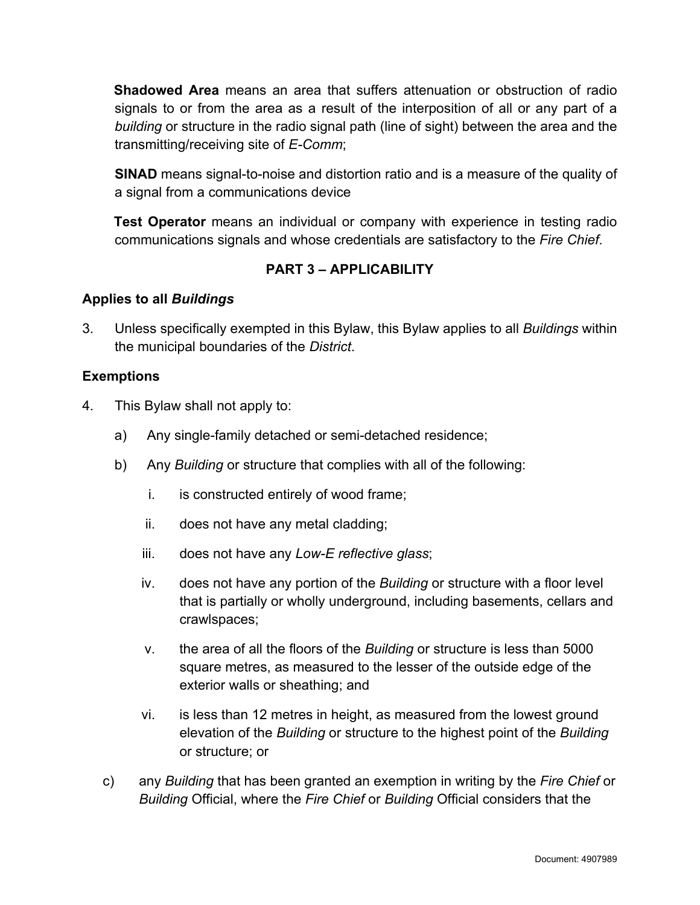**Shadowed Area** means an area that suffers attenuation or obstruction of radio signals to or from the area as a result of the interposition of all or any part of a *building* or structure in the radio signal path (line of sight) between the area and the transmitting/receiving site of *E-Comm*;

**SINAD** means signal-to-noise and distortion ratio and is a measure of the quality of a signal from a communications device

**Test Operator** means an individual or company with experience in testing radio communications signals and whose credentials are satisfactory to the *Fire Chief*.

## **PART 3 – APPLICABILITY**

#### **Applies to all** *Buildings*

3. Unless specifically exempted in this Bylaw, this Bylaw applies to all *Buildings* within the municipal boundaries of the *District*.

#### **Exemptions**

- 4. This Bylaw shall not apply to:
	- a) Any single-family detached or semi-detached residence;
	- b) Any *Building* or structure that complies with all of the following:
		- i. is constructed entirely of wood frame;
		- ii. does not have any metal cladding;
		- iii. does not have any *Low-E reflective glass*;
		- iv. does not have any portion of the *Building* or structure with a floor level that is partially or wholly underground, including basements, cellars and crawlspaces;
		- v. the area of all the floors of the *Building* or structure is less than 5000 square metres, as measured to the lesser of the outside edge of the exterior walls or sheathing; and
		- vi. is less than 12 metres in height, as measured from the lowest ground elevation of the *Building* or structure to the highest point of the *Building* or structure; or
	- c) any *Building* that has been granted an exemption in writing by the *Fire Chief* or *Building* Official, where the *Fire Chief* or *Building* Official considers that the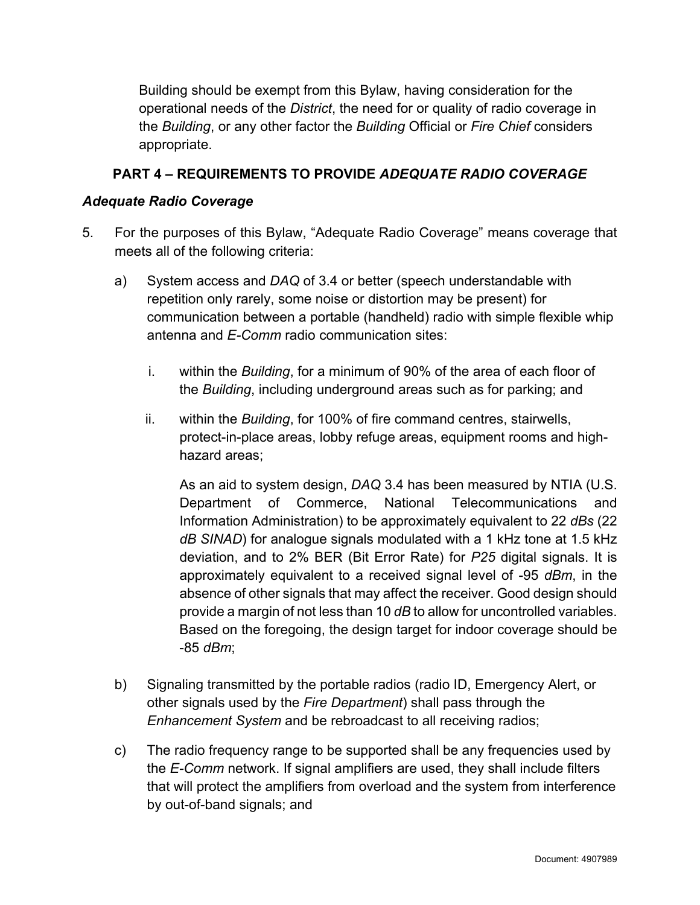Building should be exempt from this Bylaw, having consideration for the operational needs of the *District*, the need for or quality of radio coverage in the *Building*, or any other factor the *Building* Official or *Fire Chief* considers appropriate.

## **PART 4 – REQUIREMENTS TO PROVIDE** *ADEQUATE RADIO COVERAGE*

#### *Adequate Radio Coverage*

- 5. For the purposes of this Bylaw, "Adequate Radio Coverage" means coverage that meets all of the following criteria:
	- a) System access and *DAQ* of 3.4 or better (speech understandable with repetition only rarely, some noise or distortion may be present) for communication between a portable (handheld) radio with simple flexible whip antenna and *E-Comm* radio communication sites:
		- i. within the *Building*, for a minimum of 90% of the area of each floor of the *Building*, including underground areas such as for parking; and
		- ii. within the *Building*, for 100% of fire command centres, stairwells, protect-in-place areas, lobby refuge areas, equipment rooms and highhazard areas;

As an aid to system design, *DAQ* 3.4 has been measured by NTIA (U.S. Department of Commerce, National Telecommunications and Information Administration) to be approximately equivalent to 22 *dBs* (22 *dB SINAD*) for analogue signals modulated with a 1 kHz tone at 1.5 kHz deviation, and to 2% BER (Bit Error Rate) for *P25* digital signals. It is approximately equivalent to a received signal level of -95 *dBm*, in the absence of other signals that may affect the receiver. Good design should provide a margin of not less than 10 *dB* to allow for uncontrolled variables. Based on the foregoing, the design target for indoor coverage should be -85 *dBm*;

- b) Signaling transmitted by the portable radios (radio ID, Emergency Alert, or other signals used by the *Fire Department*) shall pass through the *Enhancement System* and be rebroadcast to all receiving radios;
- c) The radio frequency range to be supported shall be any frequencies used by the *E-Comm* network. If signal amplifiers are used, they shall include filters that will protect the amplifiers from overload and the system from interference by out-of-band signals; and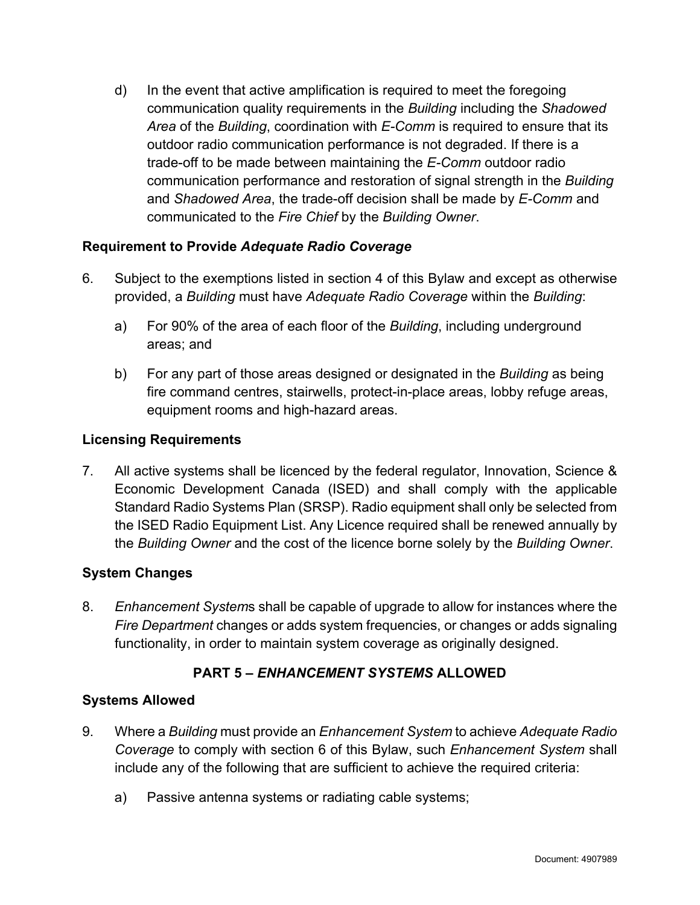d) In the event that active amplification is required to meet the foregoing communication quality requirements in the *Building* including the *Shadowed Area* of the *Building*, coordination with *E-Comm* is required to ensure that its outdoor radio communication performance is not degraded. If there is a trade-off to be made between maintaining the *E-Comm* outdoor radio communication performance and restoration of signal strength in the *Building* and *Shadowed Area*, the trade-off decision shall be made by *E-Comm* and communicated to the *Fire Chief* by the *Building Owner*.

## **Requirement to Provide** *Adequate Radio Coverage*

- 6. Subject to the exemptions listed in section 4 of this Bylaw and except as otherwise provided, a *Building* must have *Adequate Radio Coverage* within the *Building*:
	- a) For 90% of the area of each floor of the *Building*, including underground areas; and
	- b) For any part of those areas designed or designated in the *Building* as being fire command centres, stairwells, protect-in-place areas, lobby refuge areas, equipment rooms and high-hazard areas.

#### **Licensing Requirements**

7. All active systems shall be licenced by the federal regulator, Innovation, Science & Economic Development Canada (ISED) and shall comply with the applicable Standard Radio Systems Plan (SRSP). Radio equipment shall only be selected from the ISED Radio Equipment List. Any Licence required shall be renewed annually by the *Building Owner* and the cost of the licence borne solely by the *Building Owner*.

#### **System Changes**

8. *Enhancement System*s shall be capable of upgrade to allow for instances where the *Fire Department* changes or adds system frequencies, or changes or adds signaling functionality, in order to maintain system coverage as originally designed.

## **PART 5 –** *ENHANCEMENT SYSTEMS* **ALLOWED**

#### **Systems Allowed**

- 9. Where a *Building* must provide an *Enhancement System* to achieve *Adequate Radio Coverage* to comply with section 6 of this Bylaw, such *Enhancement System* shall include any of the following that are sufficient to achieve the required criteria:
	- a) Passive antenna systems or radiating cable systems;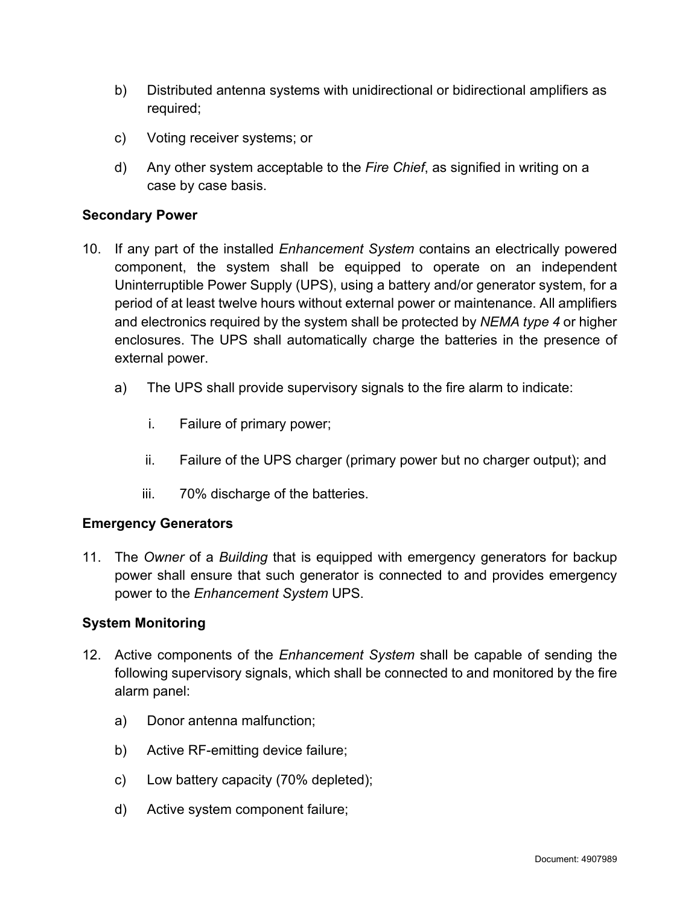- b) Distributed antenna systems with unidirectional or bidirectional amplifiers as required;
- c) Voting receiver systems; or
- d) Any other system acceptable to the *Fire Chief*, as signified in writing on a case by case basis.

#### **Secondary Power**

- 10. If any part of the installed *Enhancement System* contains an electrically powered component, the system shall be equipped to operate on an independent Uninterruptible Power Supply (UPS), using a battery and/or generator system, for a period of at least twelve hours without external power or maintenance. All amplifiers and electronics required by the system shall be protected by *NEMA type 4* or higher enclosures. The UPS shall automatically charge the batteries in the presence of external power.
	- a) The UPS shall provide supervisory signals to the fire alarm to indicate:
		- i. Failure of primary power;
		- ii. Failure of the UPS charger (primary power but no charger output); and
		- iii. 70% discharge of the batteries.

#### **Emergency Generators**

11. The *Owner* of a *Building* that is equipped with emergency generators for backup power shall ensure that such generator is connected to and provides emergency power to the *Enhancement System* UPS.

#### **System Monitoring**

- 12. Active components of the *Enhancement System* shall be capable of sending the following supervisory signals, which shall be connected to and monitored by the fire alarm panel:
	- a) Donor antenna malfunction;
	- b) Active RF-emitting device failure;
	- c) Low battery capacity (70% depleted);
	- d) Active system component failure;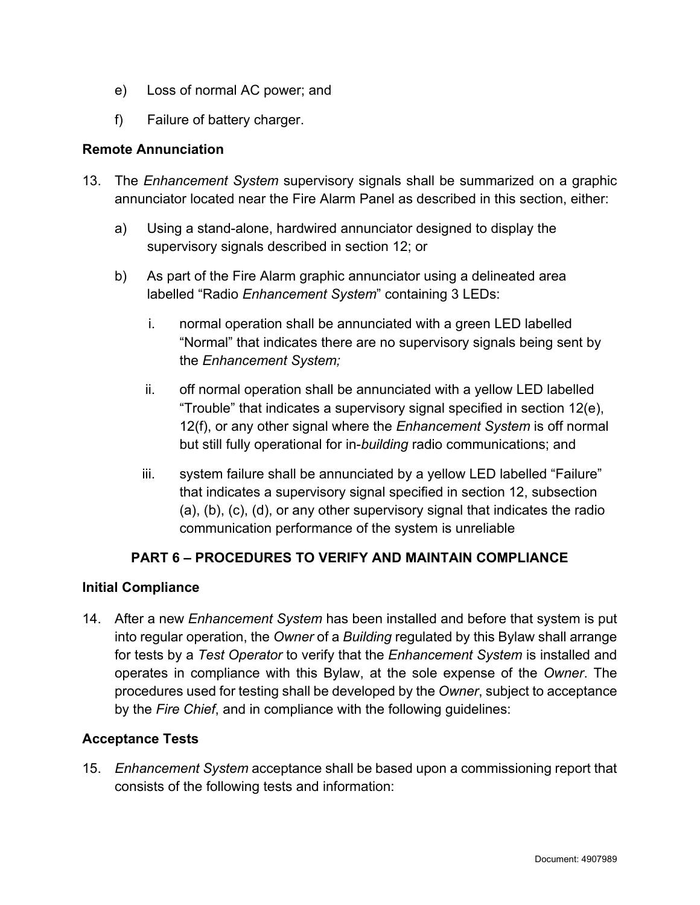- e) Loss of normal AC power; and
- f) Failure of battery charger.

#### **Remote Annunciation**

- 13. The *Enhancement System* supervisory signals shall be summarized on a graphic annunciator located near the Fire Alarm Panel as described in this section, either:
	- a) Using a stand-alone, hardwired annunciator designed to display the supervisory signals described in section 12; or
	- b) As part of the Fire Alarm graphic annunciator using a delineated area labelled "Radio *Enhancement System*" containing 3 LEDs:
		- i. normal operation shall be annunciated with a green LED labelled "Normal" that indicates there are no supervisory signals being sent by the *Enhancement System;*
		- ii. off normal operation shall be annunciated with a yellow LED labelled "Trouble" that indicates a supervisory signal specified in section 12(e), 12(f), or any other signal where the *Enhancement System* is off normal but still fully operational for in-*building* radio communications; and
		- iii. system failure shall be annunciated by a yellow LED labelled "Failure" that indicates a supervisory signal specified in section 12, subsection (a), (b), (c), (d), or any other supervisory signal that indicates the radio communication performance of the system is unreliable

## **PART 6 – PROCEDURES TO VERIFY AND MAINTAIN COMPLIANCE**

#### **Initial Compliance**

14. After a new *Enhancement System* has been installed and before that system is put into regular operation, the *Owner* of a *Building* regulated by this Bylaw shall arrange for tests by a *Test Operator* to verify that the *Enhancement System* is installed and operates in compliance with this Bylaw, at the sole expense of the *Owner*. The procedures used for testing shall be developed by the *Owner*, subject to acceptance by the *Fire Chief*, and in compliance with the following guidelines:

#### **Acceptance Tests**

15. *Enhancement System* acceptance shall be based upon a commissioning report that consists of the following tests and information: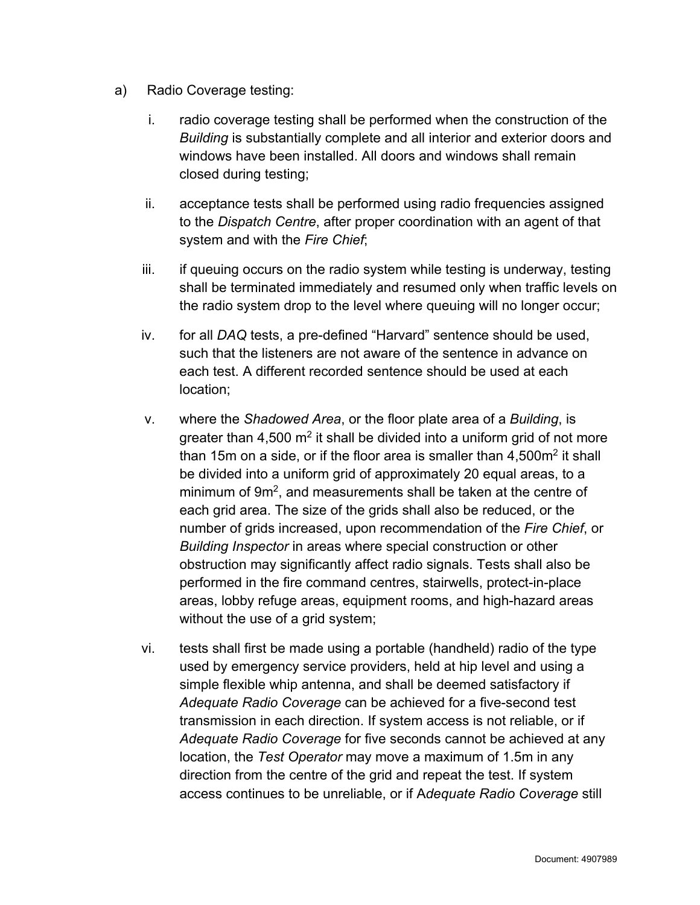- a) Radio Coverage testing:
	- i. radio coverage testing shall be performed when the construction of the *Building* is substantially complete and all interior and exterior doors and windows have been installed. All doors and windows shall remain closed during testing;
	- ii. acceptance tests shall be performed using radio frequencies assigned to the *Dispatch Centre*, after proper coordination with an agent of that system and with the *Fire Chief*;
	- iii. if queuing occurs on the radio system while testing is underway, testing shall be terminated immediately and resumed only when traffic levels on the radio system drop to the level where queuing will no longer occur;
	- iv. for all *DAQ* tests, a pre-defined "Harvard" sentence should be used, such that the listeners are not aware of the sentence in advance on each test. A different recorded sentence should be used at each location;
	- v. where the *Shadowed Area*, or the floor plate area of a *Building*, is greater than 4,500  $m^2$  it shall be divided into a uniform grid of not more than 15m on a side, or if the floor area is smaller than  $4,500m^2$  it shall be divided into a uniform grid of approximately 20 equal areas, to a minimum of 9m<sup>2</sup>, and measurements shall be taken at the centre of each grid area. The size of the grids shall also be reduced, or the number of grids increased, upon recommendation of the *Fire Chief*, or *Building Inspector* in areas where special construction or other obstruction may significantly affect radio signals. Tests shall also be performed in the fire command centres, stairwells, protect-in-place areas, lobby refuge areas, equipment rooms, and high-hazard areas without the use of a grid system;
	- vi. tests shall first be made using a portable (handheld) radio of the type used by emergency service providers, held at hip level and using a simple flexible whip antenna, and shall be deemed satisfactory if *Adequate Radio Coverage* can be achieved for a five-second test transmission in each direction. If system access is not reliable, or if *Adequate Radio Coverage* for five seconds cannot be achieved at any location, the *Test Operator* may move a maximum of 1.5m in any direction from the centre of the grid and repeat the test. If system access continues to be unreliable, or if A*dequate Radio Coverage* still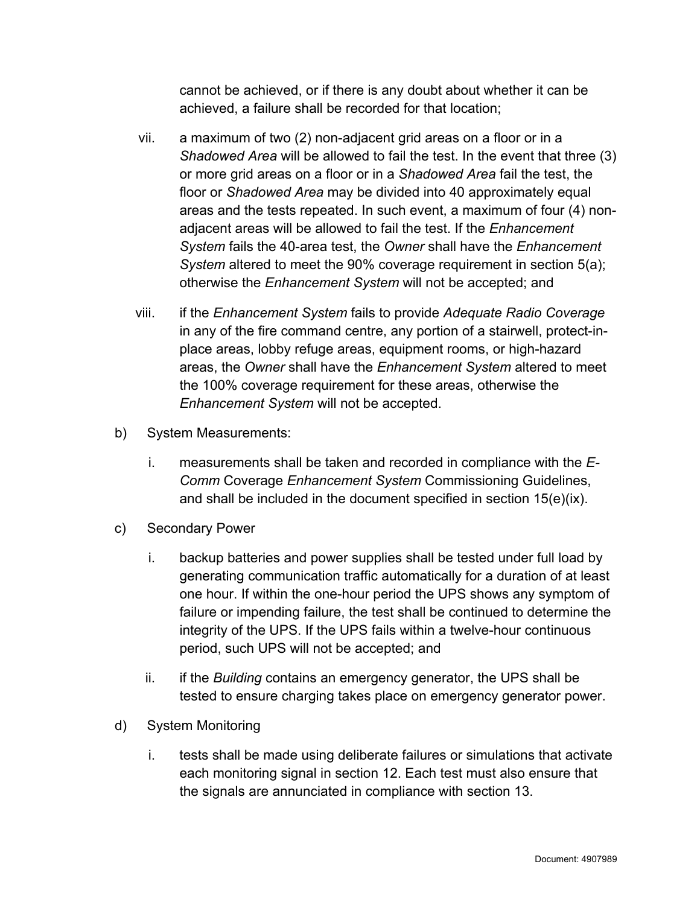cannot be achieved, or if there is any doubt about whether it can be achieved, a failure shall be recorded for that location;

- vii. a maximum of two (2) non-adjacent grid areas on a floor or in a *Shadowed Area* will be allowed to fail the test. In the event that three (3) or more grid areas on a floor or in a *Shadowed Area* fail the test, the floor or *Shadowed Area* may be divided into 40 approximately equal areas and the tests repeated. In such event, a maximum of four (4) nonadjacent areas will be allowed to fail the test. If the *Enhancement System* fails the 40-area test, the *Owner* shall have the *Enhancement System* altered to meet the 90% coverage requirement in section 5(a); otherwise the *Enhancement System* will not be accepted; and
- viii. if the *Enhancement System* fails to provide *Adequate Radio Coverage* in any of the fire command centre, any portion of a stairwell, protect-inplace areas, lobby refuge areas, equipment rooms, or high-hazard areas, the *Owner* shall have the *Enhancement System* altered to meet the 100% coverage requirement for these areas, otherwise the *Enhancement System* will not be accepted.
- b) System Measurements:
	- i. measurements shall be taken and recorded in compliance with the *E-Comm* Coverage *Enhancement System* Commissioning Guidelines, and shall be included in the document specified in section 15(e)(ix).
- c) Secondary Power
	- i. backup batteries and power supplies shall be tested under full load by generating communication traffic automatically for a duration of at least one hour. If within the one-hour period the UPS shows any symptom of failure or impending failure, the test shall be continued to determine the integrity of the UPS. If the UPS fails within a twelve-hour continuous period, such UPS will not be accepted; and
	- ii. if the *Building* contains an emergency generator, the UPS shall be tested to ensure charging takes place on emergency generator power.
- d) System Monitoring
	- i. tests shall be made using deliberate failures or simulations that activate each monitoring signal in section 12. Each test must also ensure that the signals are annunciated in compliance with section 13.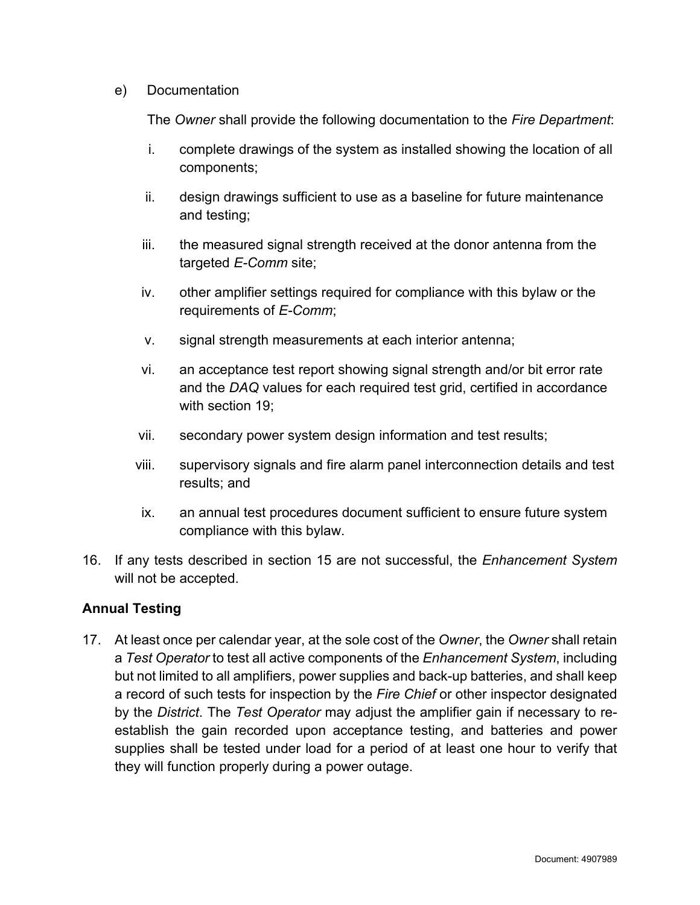#### e) Documentation

The *Owner* shall provide the following documentation to the *Fire Department*:

- i. complete drawings of the system as installed showing the location of all components;
- ii. design drawings sufficient to use as a baseline for future maintenance and testing;
- iii. the measured signal strength received at the donor antenna from the targeted *E-Comm* site;
- iv. other amplifier settings required for compliance with this bylaw or the requirements of *E-Comm*;
- v. signal strength measurements at each interior antenna;
- vi. an acceptance test report showing signal strength and/or bit error rate and the *DAQ* values for each required test grid, certified in accordance with section 19;
- vii. secondary power system design information and test results;
- viii. supervisory signals and fire alarm panel interconnection details and test results; and
- ix. an annual test procedures document sufficient to ensure future system compliance with this bylaw.
- 16. If any tests described in section 15 are not successful, the *Enhancement System* will not be accepted.

#### **Annual Testing**

17. At least once per calendar year, at the sole cost of the *Owner*, the *Owner* shall retain a *Test Operator* to test all active components of the *Enhancement System*, including but not limited to all amplifiers, power supplies and back-up batteries, and shall keep a record of such tests for inspection by the *Fire Chief* or other inspector designated by the *District*. The *Test Operator* may adjust the amplifier gain if necessary to reestablish the gain recorded upon acceptance testing, and batteries and power supplies shall be tested under load for a period of at least one hour to verify that they will function properly during a power outage.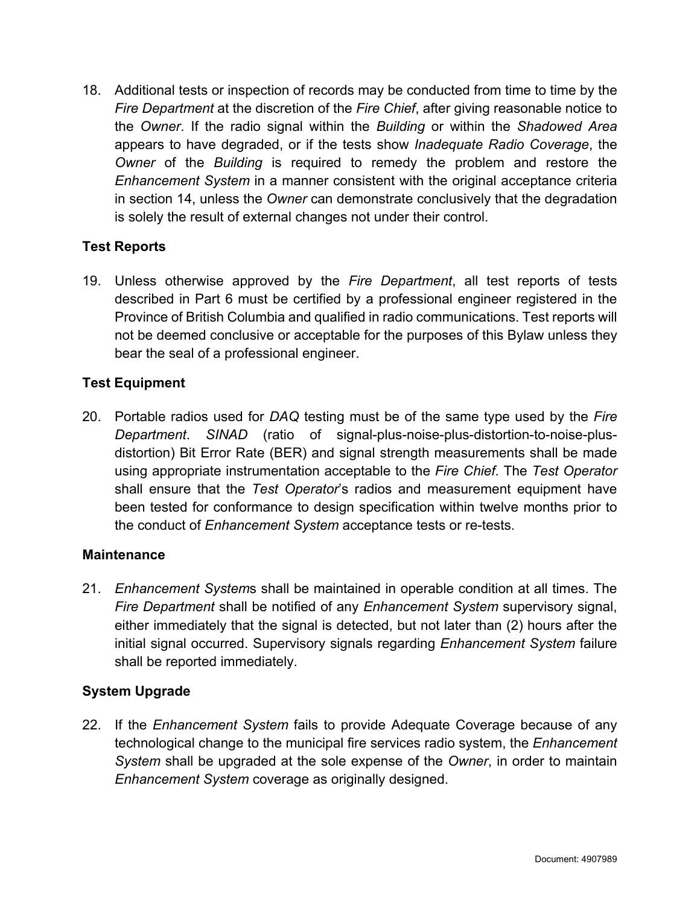18. Additional tests or inspection of records may be conducted from time to time by the *Fire Department* at the discretion of the *Fire Chief*, after giving reasonable notice to the *Owner*. If the radio signal within the *Building* or within the *Shadowed Area* appears to have degraded, or if the tests show *Inadequate Radio Coverage*, the *Owner* of the *Building* is required to remedy the problem and restore the *Enhancement System* in a manner consistent with the original acceptance criteria in section 14, unless the *Owner* can demonstrate conclusively that the degradation is solely the result of external changes not under their control.

#### **Test Reports**

19. Unless otherwise approved by the *Fire Department*, all test reports of tests described in Part 6 must be certified by a professional engineer registered in the Province of British Columbia and qualified in radio communications. Test reports will not be deemed conclusive or acceptable for the purposes of this Bylaw unless they bear the seal of a professional engineer.

#### **Test Equipment**

20. Portable radios used for *DAQ* testing must be of the same type used by the *Fire Department*. *SINAD* (ratio of signal-plus-noise-plus-distortion-to-noise-plusdistortion) Bit Error Rate (BER) and signal strength measurements shall be made using appropriate instrumentation acceptable to the *Fire Chief*. The *Test Operator* shall ensure that the *Test Operator*'s radios and measurement equipment have been tested for conformance to design specification within twelve months prior to the conduct of *Enhancement System* acceptance tests or re-tests.

#### **Maintenance**

21. *Enhancement System*s shall be maintained in operable condition at all times. The *Fire Department* shall be notified of any *Enhancement System* supervisory signal, either immediately that the signal is detected, but not later than (2) hours after the initial signal occurred. Supervisory signals regarding *Enhancement System* failure shall be reported immediately.

#### **System Upgrade**

22. If the *Enhancement System* fails to provide Adequate Coverage because of any technological change to the municipal fire services radio system, the *Enhancement System* shall be upgraded at the sole expense of the *Owner*, in order to maintain *Enhancement System* coverage as originally designed.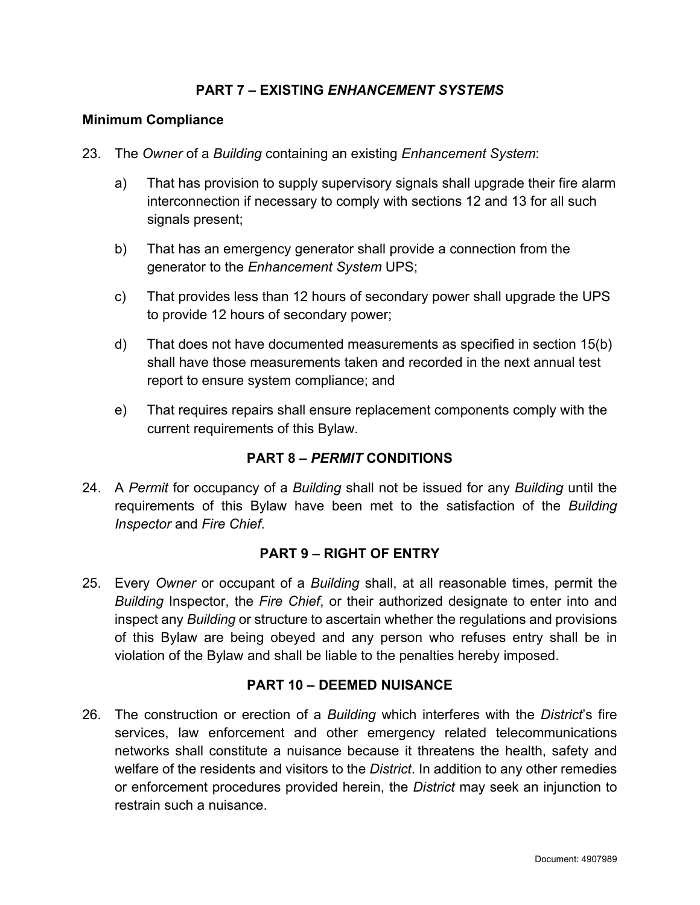#### **PART 7 – EXISTING** *ENHANCEMENT SYSTEMS*

#### **Minimum Compliance**

- 23. The *Owner* of a *Building* containing an existing *Enhancement System*:
	- a) That has provision to supply supervisory signals shall upgrade their fire alarm interconnection if necessary to comply with sections 12 and 13 for all such signals present;
	- b) That has an emergency generator shall provide a connection from the generator to the *Enhancement System* UPS;
	- c) That provides less than 12 hours of secondary power shall upgrade the UPS to provide 12 hours of secondary power;
	- d) That does not have documented measurements as specified in section 15(b) shall have those measurements taken and recorded in the next annual test report to ensure system compliance; and
	- e) That requires repairs shall ensure replacement components comply with the current requirements of this Bylaw.

#### **PART 8 –** *PERMIT* **CONDITIONS**

24. A *Permit* for occupancy of a *Building* shall not be issued for any *Building* until the requirements of this Bylaw have been met to the satisfaction of the *Building Inspector* and *Fire Chief*.

#### **PART 9 – RIGHT OF ENTRY**

25. Every *Owner* or occupant of a *Building* shall, at all reasonable times, permit the *Building* Inspector, the *Fire Chief*, or their authorized designate to enter into and inspect any *Building* or structure to ascertain whether the regulations and provisions of this Bylaw are being obeyed and any person who refuses entry shall be in violation of the Bylaw and shall be liable to the penalties hereby imposed.

#### **PART 10 – DEEMED NUISANCE**

26. The construction or erection of a *Building* which interferes with the *District*'s fire services, law enforcement and other emergency related telecommunications networks shall constitute a nuisance because it threatens the health, safety and welfare of the residents and visitors to the *District*. In addition to any other remedies or enforcement procedures provided herein, the *District* may seek an injunction to restrain such a nuisance.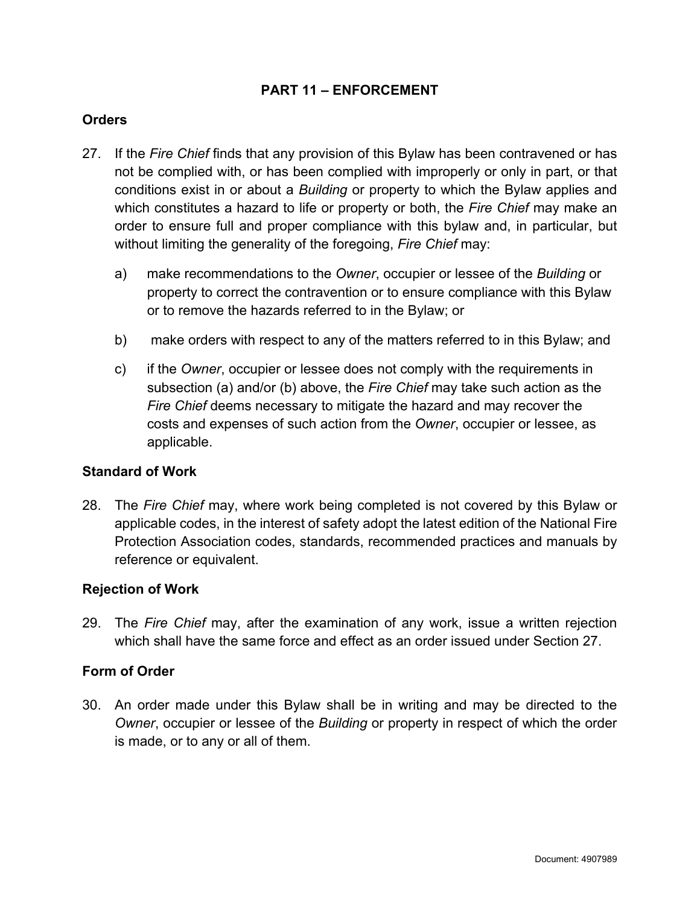#### **PART 11 – ENFORCEMENT**

#### **Orders**

- 27. If the *Fire Chief* finds that any provision of this Bylaw has been contravened or has not be complied with, or has been complied with improperly or only in part, or that conditions exist in or about a *Building* or property to which the Bylaw applies and which constitutes a hazard to life or property or both, the *Fire Chief* may make an order to ensure full and proper compliance with this bylaw and, in particular, but without limiting the generality of the foregoing, *Fire Chief* may:
	- a) make recommendations to the *Owner*, occupier or lessee of the *Building* or property to correct the contravention or to ensure compliance with this Bylaw or to remove the hazards referred to in the Bylaw; or
	- b) make orders with respect to any of the matters referred to in this Bylaw; and
	- c) if the *Owner*, occupier or lessee does not comply with the requirements in subsection (a) and/or (b) above, the *Fire Chief* may take such action as the *Fire Chief* deems necessary to mitigate the hazard and may recover the costs and expenses of such action from the *Owner*, occupier or lessee, as applicable.

#### **Standard of Work**

28. The *Fire Chief* may, where work being completed is not covered by this Bylaw or applicable codes, in the interest of safety adopt the latest edition of the National Fire Protection Association codes, standards, recommended practices and manuals by reference or equivalent.

#### **Rejection of Work**

29. The *Fire Chief* may, after the examination of any work, issue a written rejection which shall have the same force and effect as an order issued under Section 27.

#### **Form of Order**

30. An order made under this Bylaw shall be in writing and may be directed to the *Owner*, occupier or lessee of the *Building* or property in respect of which the order is made, or to any or all of them.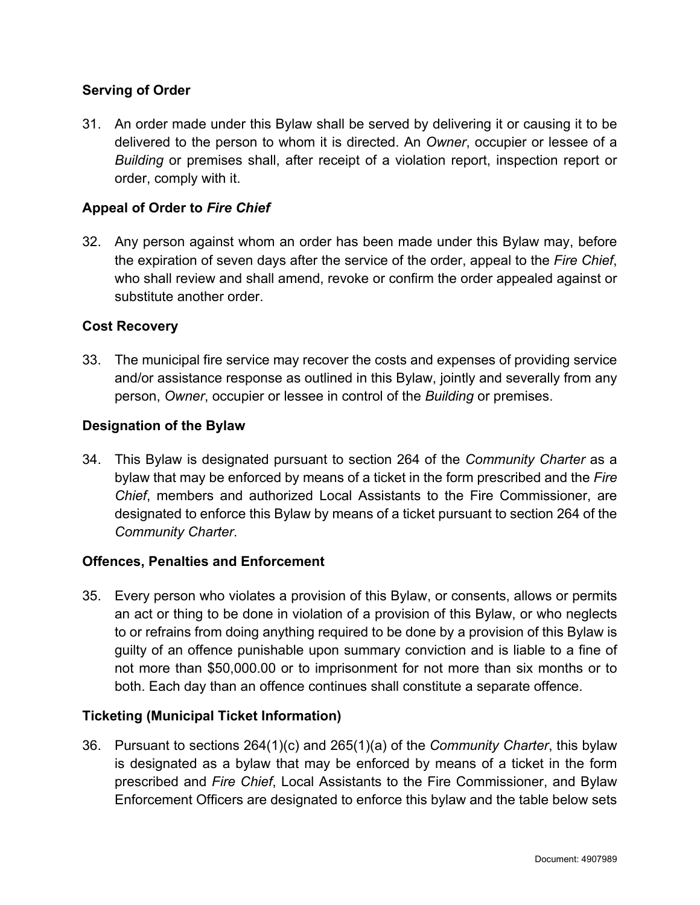#### **Serving of Order**

31. An order made under this Bylaw shall be served by delivering it or causing it to be delivered to the person to whom it is directed. An *Owner*, occupier or lessee of a *Building* or premises shall, after receipt of a violation report, inspection report or order, comply with it.

#### **Appeal of Order to** *Fire Chief*

32. Any person against whom an order has been made under this Bylaw may, before the expiration of seven days after the service of the order, appeal to the *Fire Chief*, who shall review and shall amend, revoke or confirm the order appealed against or substitute another order

#### **Cost Recovery**

33. The municipal fire service may recover the costs and expenses of providing service and/or assistance response as outlined in this Bylaw, jointly and severally from any person, *Owner*, occupier or lessee in control of the *Building* or premises.

#### **Designation of the Bylaw**

34. This Bylaw is designated pursuant to section 264 of the *Community Charter* as a bylaw that may be enforced by means of a ticket in the form prescribed and the *Fire Chief*, members and authorized Local Assistants to the Fire Commissioner, are designated to enforce this Bylaw by means of a ticket pursuant to section 264 of the *Community Charter*.

#### **Offences, Penalties and Enforcement**

35. Every person who violates a provision of this Bylaw, or consents, allows or permits an act or thing to be done in violation of a provision of this Bylaw, or who neglects to or refrains from doing anything required to be done by a provision of this Bylaw is guilty of an offence punishable upon summary conviction and is liable to a fine of not more than \$50,000.00 or to imprisonment for not more than six months or to both. Each day than an offence continues shall constitute a separate offence.

#### **Ticketing (Municipal Ticket Information)**

36. Pursuant to sections 264(1)(c) and 265(1)(a) of the *Community Charter*, this bylaw is designated as a bylaw that may be enforced by means of a ticket in the form prescribed and *Fire Chief*, Local Assistants to the Fire Commissioner, and Bylaw Enforcement Officers are designated to enforce this bylaw and the table below sets